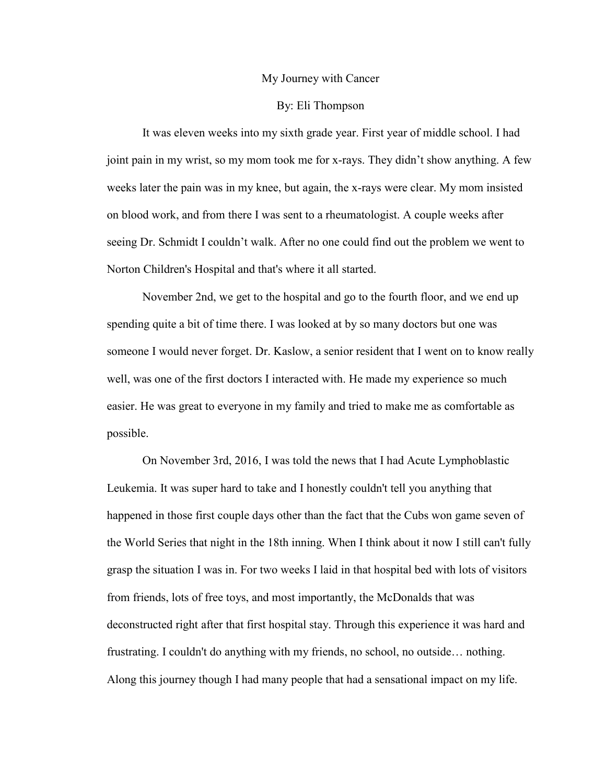## My Journey with Cancer

## By: Eli Thompson

It was eleven weeks into my sixth grade year. First year of middle school. I had joint pain in my wrist, so my mom took me for x-rays. They didn't show anything. A few weeks later the pain was in my knee, but again, the x-rays were clear. My mom insisted on blood work, and from there I was sent to a rheumatologist. A couple weeks after seeing Dr. Schmidt I couldn't walk. After no one could find out the problem we went to Norton Children's Hospital and that's where it all started.

November 2nd, we get to the hospital and go to the fourth floor, and we end up spending quite a bit of time there. I was looked at by so many doctors but one was someone I would never forget. Dr. Kaslow, a senior resident that I went on to know really well, was one of the first doctors I interacted with. He made my experience so much easier. He was great to everyone in my family and tried to make me as comfortable as possible.

On November 3rd, 2016, I was told the news that I had Acute Lymphoblastic Leukemia. It was super hard to take and I honestly couldn't tell you anything that happened in those first couple days other than the fact that the Cubs won game seven of the World Series that night in the 18th inning. When I think about it now I still can't fully grasp the situation I was in. For two weeks I laid in that hospital bed with lots of visitors from friends, lots of free toys, and most importantly, the McDonalds that was deconstructed right after that first hospital stay. Through this experience it was hard and frustrating. I couldn't do anything with my friends, no school, no outside… nothing. Along this journey though I had many people that had a sensational impact on my life.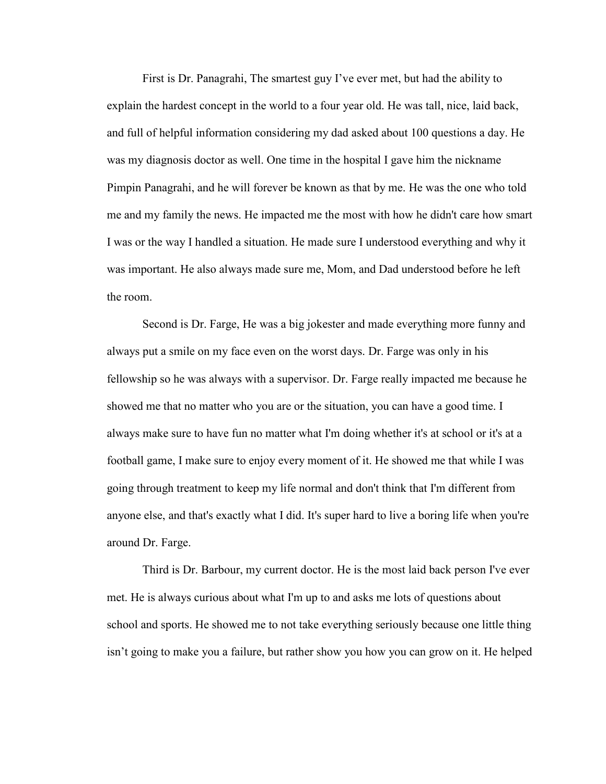First is Dr. Panagrahi, The smartest guy I've ever met, but had the ability to explain the hardest concept in the world to a four year old. He was tall, nice, laid back, and full of helpful information considering my dad asked about 100 questions a day. He was my diagnosis doctor as well. One time in the hospital I gave him the nickname Pimpin Panagrahi, and he will forever be known as that by me. He was the one who told me and my family the news. He impacted me the most with how he didn't care how smart I was or the way I handled a situation. He made sure I understood everything and why it was important. He also always made sure me, Mom, and Dad understood before he left the room.

Second is Dr. Farge, He was a big jokester and made everything more funny and always put a smile on my face even on the worst days. Dr. Farge was only in his fellowship so he was always with a supervisor. Dr. Farge really impacted me because he showed me that no matter who you are or the situation, you can have a good time. I always make sure to have fun no matter what I'm doing whether it's at school or it's at a football game, I make sure to enjoy every moment of it. He showed me that while I was going through treatment to keep my life normal and don't think that I'm different from anyone else, and that's exactly what I did. It's super hard to live a boring life when you're around Dr. Farge.

Third is Dr. Barbour, my current doctor. He is the most laid back person I've ever met. He is always curious about what I'm up to and asks me lots of questions about school and sports. He showed me to not take everything seriously because one little thing isn't going to make you a failure, but rather show you how you can grow on it. He helped